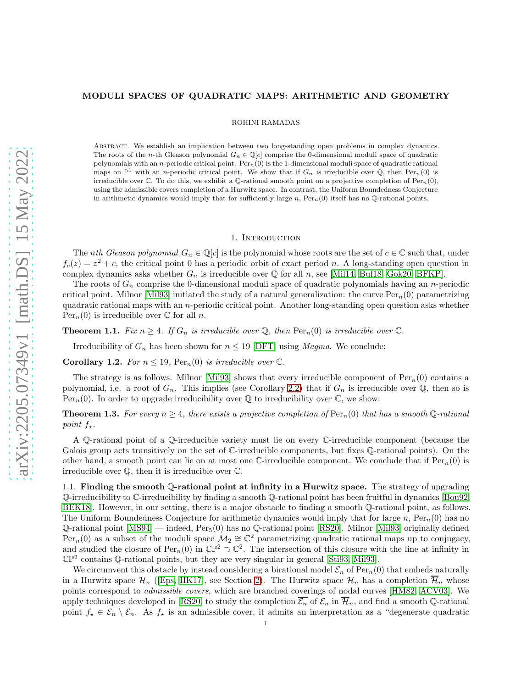# MODULI SPACES OF QUADRATIC MAPS: ARITHMETIC AND GEOMETRY

ROHINI RAMADAS

Abstract. We establish an implication between two long-standing open problems in complex dynamics. The roots of the n-th Gleason polynomial  $G_n \in \mathbb{Q}[c]$  comprise the 0-dimensional moduli space of quadratic polynomials with an n-periodic critical point.  $\text{Per}_n(0)$  is the 1-dimensional moduli space of quadratic rational maps on  $\mathbb{P}^1$  with an *n*-periodic critical point. We show that if  $G_n$  is irreducible over  $\mathbb{Q}$ , then  $\text{Per}_n(0)$  is irreducible over  $\mathbb C$ . To do this, we exhibit a Q-rational smooth point on a projective completion of Per<sub>n</sub>(0), using the admissible covers completion of a Hurwitz space. In contrast, the Uniform Boundedness Conjecture in arithmetic dynamics would imply that for sufficiently large n,  $\text{Per}_n(0)$  itself has no Q-rational points.

#### 1. INTRODUCTION

The *nth Gleason polynomial*  $G_n \in \mathbb{Q}[c]$  is the polynomial whose roots are the set of  $c \in \mathbb{C}$  such that, under  $f_c(z) = z^2 + c$ , the critical point 0 has a periodic orbit of exact period n. A long-standing open question in complex dynamics asks whether  $G_n$  is irreducible over Q for all n, see [\[Mil14,](#page-5-0) [Buf18,](#page-4-0) [Gok20,](#page-5-1) [BFKP\]](#page-4-1).

The roots of  $G_n$  comprise the 0-dimensional moduli space of quadratic polynomials having an n-periodic critical point. Milnor [\[Mil93\]](#page-5-2) initiated the study of a natural generalization: the curve  $\text{Per}_n(0)$  parametrizing quadratic rational maps with an n-periodic critical point. Another long-standing open question asks whether  $\text{Per}_n(0)$  is irreducible over  $\mathbb C$  for all n.

<span id="page-0-0"></span>**Theorem 1.1.** Fix  $n \geq 4$ . If  $G_n$  is irreducible over Q, then  $\text{Per}_n(0)$  is irreducible over  $\mathbb{C}$ .

Irreducibility of  $G_n$  has been shown for  $n \leq 19$  [\[DFT\]](#page-4-2) using *Magma*. We conclude:

**Corollary 1.2.** For  $n \leq 19$ ,  $\text{Per}_n(0)$  is irreducible over  $\mathbb{C}$ .

The strategy is as follows. Milnor [\[Mil93\]](#page-5-2) shows that every irreducible component of  $Per_n(0)$  contains a polynomial, i.e. a root of  $G_n$ . This implies (see Corollary [2.2\)](#page-2-0) that if  $G_n$  is irreducible over  $\mathbb Q$ , then so is Per<sub>n</sub>(0). In order to upgrade irreducibility over  $\mathbb Q$  to irreducibility over  $\mathbb C$ , we show:

<span id="page-0-1"></span>**Theorem 1.3.** For every  $n \geq 4$ , there exists a projective completion of  $\text{Per}_n(0)$  that has a smooth Q-rational point  $f_{\star}$ .

A Q-rational point of a Q-irreducible variety must lie on every C-irreducible component (because the Galois group acts transitively on the set of C-irreducible components, but fixes Q-rational points). On the other hand, a smooth point can lie on at most one C-irreducible component. We conclude that if  $Per_n(0)$  is irreducible over Q, then it is irreducible over C.

1.1. Finding the smooth Q-rational point at infinity in a Hurwitz space. The strategy of upgrading Q-irreducibility to C-irreducibility by finding a smooth Q-rational point has been fruitful in dynamics [\[Bou92,](#page-4-3) [BEK18\]](#page-4-4). However, in our setting, there is a major obstacle to finding a smooth Q-rational point, as follows. The Uniform Boundedness Conjecture for arithmetic dynamics would imply that for large n,  $Per_n(0)$  has no  $\mathbb{Q}\text{-rational point [MS94] — indeed, Per}_5(0)$  $\mathbb{Q}\text{-rational point [MS94] — indeed, Per}_5(0)$  $\mathbb{Q}\text{-rational point [MS94] — indeed, Per}_5(0)$  has no  $\mathbb{Q}\text{-rational point [RS20].}$  $\mathbb{Q}\text{-rational point [RS20].}$  $\mathbb{Q}\text{-rational point [RS20].}$  Milnor [\[Mil93\]](#page-5-2) originally defined  $\text{Per}_n(0)$  as a subset of the moduli space  $\mathcal{M}_2 \cong \mathbb{C}^2$  parametrizing quadratic rational maps up to conjugacy, and studied the closure of  $\text{Per}_n(0)$  in  $\mathbb{CP}^2 \supset \mathbb{C}^2$ . The intersection of this closure with the line at infinity in  $\mathbb{CP}^2$  contains Q-rational points, but they are very singular in general [\[Sti93,](#page-5-5) [Mil93\]](#page-5-2).

We circumvent this obstacle by instead considering a birational model  $\mathcal{E}_n$  of Per<sub>n</sub>(0) that embeds naturally in a Hurwitz space  $\mathcal{H}_n$  (Eps, HK17), see Section [2\)](#page-1-0). The Hurwitz space  $\mathcal{H}_n$  has a completion  $\overline{\mathcal{H}}_n$  whose points correspond to admissible covers, which are branched coverings of nodal curves [\[HM82,](#page-5-7) [ACV03\]](#page-4-6). We apply techniques developed in [\[RS20\]](#page-5-4) to study the completion  $\overline{\mathcal{E}_n}$  of  $\mathcal{E}_n$  in  $\overline{\mathcal{H}}_n$ , and find a smooth Q-rational point  $f_{\star} \in \overline{\mathcal{E}_n} \setminus \mathcal{E}_n$ . As  $f_{\star}$  is an admissible cover, it admits an interpretation as a "degenerate quadratic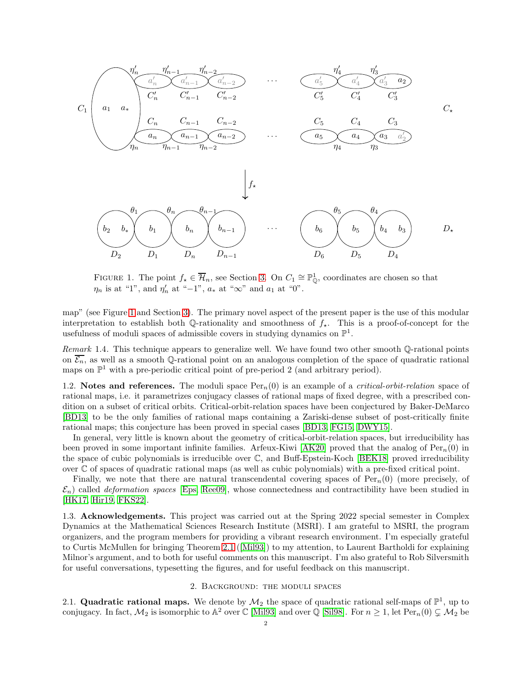

<span id="page-1-1"></span>FIGURE 1. The point  $f_{\star} \in \overline{\mathcal{H}}_n$ , see Section [3.](#page-3-0) On  $C_1 \cong \mathbb{P}_{\mathbb{Q}}^1$ , coordinates are chosen so that  $\eta_n$  is at "1", and  $\eta'_n$  at "-1",  $a_*$  at " $\infty$ " and  $a_1$  at "0".

map" (see Figure [1](#page-1-1) and Section [3\)](#page-3-0). The primary novel aspect of the present paper is the use of this modular interpretation to establish both  $\mathbb{Q}$ -rationality and smoothness of  $f_{\star}$ . This is a proof-of-concept for the usefulness of moduli spaces of admissible covers in studying dynamics on  $\mathbb{P}^1$ .

Remark 1.4. This technique appears to generalize well. We have found two other smooth Q-rational points on  $\overline{\mathcal{E}_n}$ , as well as a smooth Q-rational point on an analogous completion of the space of quadratic rational maps on  $\mathbb{P}^1$  with a pre-periodic critical point of pre-period 2 (and arbitrary period).

1.2. Notes and references. The moduli space  $Per_n(0)$  is an example of a *critical-orbit-relation* space of rational maps, i.e. it parametrizes conjugacy classes of rational maps of fixed degree, with a prescribed condition on a subset of critical orbits. Critical-orbit-relation spaces have been conjectured by Baker-DeMarco [\[BD13\]](#page-4-7) to be the only families of rational maps containing a Zariski-dense subset of post-critically finite rational maps; this conjecture has been proved in special cases [\[BD13,](#page-4-7) [FG15,](#page-4-8) [DWY15\]](#page-4-9).

In general, very little is known about the geometry of critical-orbit-relation spaces, but irreducibility has been proved in some important infinite families. Arfeux-Kiwi [\[AK20\]](#page-4-10) proved that the analog of  $\text{Per}_n(0)$  in the space of cubic polynomials is irreducible over C, and Buff-Epstein-Koch [\[BEK18\]](#page-4-4) proved irreducibility over C of spaces of quadratic rational maps (as well as cubic polynomials) with a pre-fixed critical point.

Finally, we note that there are natural transcendental covering spaces of  $Per_n(0)$  (more precisely, of  $\mathcal{E}_n$ ) called *deformation spaces* [\[Eps,](#page-4-5) [Ree09\]](#page-5-8), whose connectedness and contractibility have been studied in [\[HK17,](#page-5-6) [Hir19,](#page-5-9) [FKS22\]](#page-5-10).

1.3. Acknowledgements. This project was carried out at the Spring 2022 special semester in Complex Dynamics at the Mathematical Sciences Research Institute (MSRI). I am grateful to MSRI, the program organizers, and the program members for providing a vibrant research environment. I'm especially grateful to Curtis McMullen for bringing Theorem [2.1](#page-2-1) ([\[Mil93\]](#page-5-2)) to my attention, to Laurent Bartholdi for explaining Milnor's argument, and to both for useful comments on this manuscript. I'm also grateful to Rob Silversmith for useful conversations, typesetting the figures, and for useful feedback on this manuscript.

### 2. Background: the moduli spaces

<span id="page-1-0"></span>2.1. Quadratic rational maps. We denote by  $\mathcal{M}_2$  the space of quadratic rational self-maps of  $\mathbb{P}^1$ , up to conjugacy. In fact,  $M_2$  is isomorphic to  $\mathbb{A}^2$  over  $\mathbb C$  [\[Mil93\]](#page-5-2) and over  $\mathbb Q$  [\[Sil98\]](#page-5-11). For  $n \geq 1$ , let  $\text{Per}_n(0) \subsetneq M_2$  be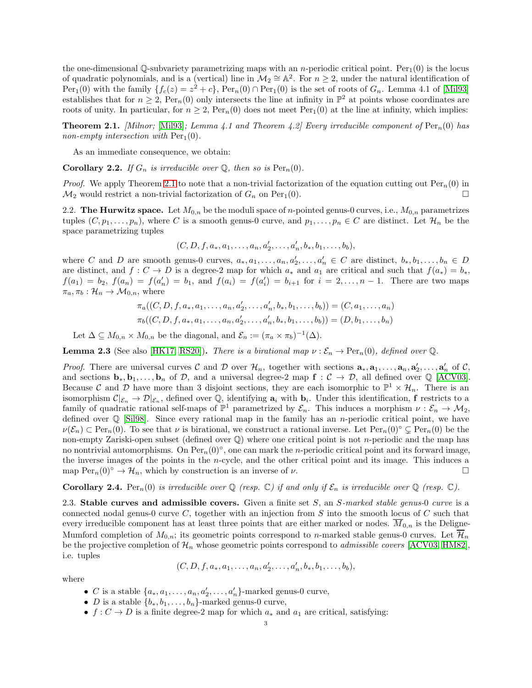the one-dimensional  $\mathbb{O}$ -subvariety parametrizing maps with an *n*-periodic critical point. Per<sub>1</sub>(0) is the locus of quadratic polynomials, and is a (vertical) line in  $\mathcal{M}_2 \cong \mathbb{A}^2$ . For  $n \geq 2$ , under the natural identification of  $Per_1(0)$  with the family  $\{f_c(z) = z^2 + c\}$ ,  $Per_n(0) \cap Per_1(0)$  is the set of roots of  $G_n$ . Lemma 4.1 of [\[Mil93\]](#page-5-2) establishes that for  $n \geq 2$ ,  $\text{Per}_n(0)$  only intersects the line at infinity in  $\mathbb{P}^2$  at points whose coordinates are roots of unity. In particular, for  $n \geq 2$ , Per<sub>n</sub>(0) does not meet Per<sub>1</sub>(0) at the line at infinity, which implies:

<span id="page-2-1"></span>**Theorem 2.1.** [Milnor; [\[Mil93\]](#page-5-2); Lemma 4.1 and Theorem 4.2] Every irreducible component of  $\text{Per}_n(0)$  has non-empty intersection with  $Per_1(0)$ .

As an immediate consequence, we obtain:

<span id="page-2-0"></span>**Corollary 2.2.** If  $G_n$  is irreducible over  $\mathbb{Q}$ , then so is  $\text{Per}_n(0)$ .

*Proof.* We apply Theorem [2.1](#page-2-1) to note that a non-trivial factorization of the equation cutting out  $\text{Per}_n(0)$  in  $\mathcal{M}_2$  would restrict a non-trivial factorization of  $G_n$  on Per<sub>1</sub>(0).

2.2. The Hurwitz space. Let  $M_{0,n}$  be the moduli space of *n*-pointed genus-0 curves, i.e.,  $M_{0,n}$  parametrizes tuples  $(C, p_1, \ldots, p_n)$ , where C is a smooth genus-0 curve, and  $p_1, \ldots, p_n \in C$  are distinct. Let  $\mathcal{H}_n$  be the space parametrizing tuples

$$
(C, D, f, a_*, a_1, \ldots, a_n, a'_2, \ldots, a'_n, b_*, b_1, \ldots, b_b),
$$

where C and D are smooth genus-0 curves,  $a_*, a_1, \ldots, a_n, a'_2, \ldots, a'_n \in C$  are distinct,  $b_*, b_1, \ldots, b_n \in D$ are distinct, and  $f: C \to D$  is a degree-2 map for which  $a_*$  and  $a_1$  are critical and such that  $f(a_*) = b_*,$  $f(a_1) = b_2$ ,  $f(a_n) = f(a'_n) = b_1$ , and  $f(a_i) = f(a'_i) = b_{i+1}$  for  $i = 2, ..., n-1$ . There are two maps  $\pi_a, \pi_b : \mathcal{H}_n \to \mathcal{M}_{0,n}$ , where

$$
\pi_a((C, D, f, a_*, a_1, \ldots, a_n, a'_2, \ldots, a'_n, b_*, b_1, \ldots, b_b)) = (C, a_1, \ldots, a_n)
$$
  

$$
\pi_b((C, D, f, a_*, a_1, \ldots, a_n, a'_2, \ldots, a'_n, b_*, b_1, \ldots, b_b)) = (D, b_1, \ldots, b_n)
$$

Let  $\Delta \subseteq M_{0,n} \times M_{0,n}$  be the diagonal, and  $\mathcal{E}_n := (\pi_a \times \pi_b)^{-1}(\Delta)$ .

<span id="page-2-3"></span>**Lemma 2.3** (See also [\[HK17,](#page-5-6) [RS20\]](#page-5-4)). There is a birational map  $\nu : \mathcal{E}_n \to \text{Per}_n(0)$ , defined over  $\mathbb{Q}$ .

*Proof.* There are universal curves C and D over  $\mathcal{H}_n$ , together with sections  $\mathbf{a}_*, \mathbf{a}_1, \ldots, \mathbf{a}_n, \mathbf{a}'_2, \ldots, \mathbf{a}'_n$  of C, and sections  $\mathbf{b}_*, \mathbf{b}_1, \ldots, \mathbf{b}_n$  of  $\mathcal{D}$ , and a universal degree-2 map  $\mathbf{f} : \mathcal{C} \to \mathcal{D}$ , all defined over  $\mathbb{Q}$  [\[ACV03\]](#page-4-6). Because C and D have more than 3 disjoint sections, they are each isomorphic to  $\mathbb{P}^1 \times \mathcal{H}_n$ . There is an isomorphism  $\mathcal{C}|_{\mathcal{E}_n} \to \mathcal{D}|_{\mathcal{E}_n}$ , defined over Q, identifying  $a_i$  with  $b_i$ . Under this identification, f restricts to a family of quadratic rational self-maps of  $\mathbb{P}^1$  parametrized by  $\mathcal{E}_n$ . This induces a morphism  $\nu : \mathcal{E}_n \to \mathcal{M}_2$ , defined over  $\mathbb Q$  [\[Sil98\]](#page-5-11). Since every rational map in the family has an *n*-periodic critical point, we have  $\nu(\mathcal{E}_n) \subset \text{Per}_n(0)$ . To see that  $\nu$  is birational, we construct a rational inverse. Let  $\text{Per}_n(0)^\circ \subsetneq \text{Per}_n(0)$  be the non-empty Zariski-open subset (defined over  $\mathbb{Q}$ ) where one critical point is not *n*-periodic and the map has no nontrivial automorphisms. On  $\text{Per}_n(0)^\circ$ , one can mark the *n*-periodic critical point and its forward image, the inverse images of the points in the  $n$ -cycle, and the other critical point and its image. This induces a map  $\text{Per}_n(0)^\circ \to \mathcal{H}_n$ , which by construction is an inverse of  $\nu$ .

<span id="page-2-2"></span>**Corollary 2.4.** Per<sub>n</sub>(0) is irreducible over Q (resp. C) if and only if  $\mathcal{E}_n$  is irreducible over Q (resp. C).

2.3. Stable curves and admissible covers. Given a finite set  $S$ , an  $S$ -marked stable genus-0 curve is a connected nodal genus-0 curve  $C$ , together with an injection from  $S$  into the smooth locus of  $C$  such that every irreducible component has at least three points that are either marked or nodes.  $M_{0,n}$  is the Deligne-Mumford completion of  $M_{0,n}$ ; its geometric points correspond to n-marked stable genus-0 curves. Let  $\overline{\mathcal{H}}_n$ be the projective completion of  $\mathcal{H}_n$  whose geometric points correspond to *admissible covers* [\[ACV03,](#page-4-6) [HM82\]](#page-5-7), i.e. tuples

$$
(C, D, f, a_*, a_1, \ldots, a_n, a'_2, \ldots, a'_n, b_*, b_1, \ldots, b_b),
$$

where

- C is a stable  $\{a_*, a_1, \ldots, a_n, a'_2, \ldots, a'_n\}$ -marked genus-0 curve,
- *D* is a stable  $\{b_*, b_1, \ldots, b_n\}$ -marked genus-0 curve,
- $f: C \to D$  is a finite degree-2 map for which  $a_*$  and  $a_1$  are critical, satisfying: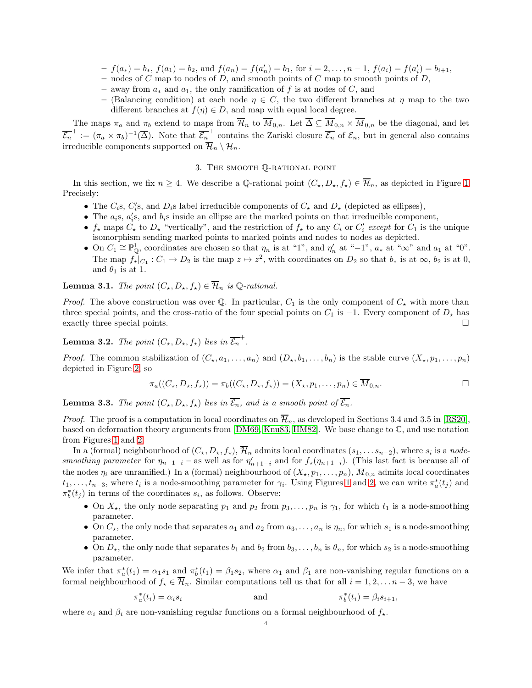- $-f(a_*) = b_*, f(a_1) = b_2$ , and  $f(a_n) = f(a'_n) = b_1$ , for  $i = 2, ..., n-1$ ,  $f(a_i) = f(a'_i) = b_{i+1}$ ,
- nodes of C map to nodes of D, and smooth points of C map to smooth points of D,
- away from  $a_*$  and  $a_1$ , the only ramification of f is at nodes of C, and
- (Balancing condition) at each node  $\eta \in C$ , the two different branches at  $\eta$  map to the two different branches at  $f(\eta) \in D$ , and map with equal local degree.

The maps  $\pi_a$  and  $\pi_b$  extend to maps from  $\overline{\mathcal{H}}_n$  to  $\overline{M}_{0,n}$ . Let  $\overline{\Delta} \subseteq \overline{M}_{0,n} \times \overline{M}_{0,n}$  be the diagonal, and let  $\overline{\mathcal{E}_n}^+ := (\pi_a \times \pi_b)^{-1}(\overline{\Delta})$ . Note that  $\overline{\mathcal{E}_n}^+$  contains the Zariski closure  $\overline{\mathcal{E}_n}$  of  $\mathcal{E}_n$ , but in general also contains irreducible components supported on  $\overline{\mathcal{H}}_n \setminus \mathcal{H}_n$ .

## 3. The smooth Q-rational point

<span id="page-3-0"></span>In this section, we fix  $n \geq 4$ . We describe a Q-rational point  $(C_{\star}, D_{\star}, f_{\star}) \in \overline{\mathcal{H}}_n$ , as depicted in Figure [1.](#page-1-1) Precisely:

- The  $C_i$ s,  $C_i$ 's, and  $D_i$ s label irreducible components of  $C_{\star}$  and  $D_{\star}$  (depicted as ellipses),
- The  $a_i$ s,  $a'_i$ s, and  $b_i$ s inside an ellipse are the marked points on that irreducible component,
- $f_{\star}$  maps  $C_{\star}$  to  $D_{\star}$  "vertically", and the restriction of  $f_{\star}$  to any  $C_i$  or  $C'_i$  except for  $C_1$  is the unique isomorphism sending marked points to marked points and nodes to nodes as depicted.
- On  $C_1 \cong \mathbb{P}^1_{\mathbb{Q}}$ , coordinates are chosen so that  $\eta_n$  is at "1", and  $\eta'_n$  at "−1",  $a_*$  at "∞" and  $a_1$  at "0". The map  $f_{\star}|_{C_1}: C_1 \to D_2$  is the map  $z \mapsto z^2$ , with coordinates on  $D_2$  so that  $b_*$  is at  $\infty$ ,  $b_2$  is at 0, and  $\theta_1$  is at 1.

<span id="page-3-1"></span>**Lemma 3.1.** The point  $(C_{\star}, D_{\star}, f_{\star}) \in \overline{\mathcal{H}}_n$  is Q-rational.

*Proof.* The above construction was over Q. In particular,  $C_1$  is the only component of  $C_{\star}$  with more than three special points, and the cross-ratio of the four special points on  $C_1$  is  $-1$ . Every component of  $D<sub>\star</sub>$  has exactly three special points.  $\square$ 

**Lemma 3.2.** The point  $(C_{\star}, D_{\star}, f_{\star})$  lies in  $\overline{\mathcal{E}_n}^+$ .

*Proof.* The common stabilization of  $(C_\star, a_1, \ldots, a_n)$  and  $(D_\star, b_1, \ldots, b_n)$  is the stable curve  $(X_\star, p_1, \ldots, p_n)$ depicted in Figure [2,](#page-4-11) so

$$
\pi_a((C_{\star}, D_{\star}, f_{\star})) = \pi_b((C_{\star}, D_{\star}, f_{\star})) = (X_{\star}, p_1, \ldots, p_n) \in \overline{M}_{0,n}.
$$

<span id="page-3-2"></span>**Lemma 3.3.** The point  $(C_*, D_*, f_*)$  lies in  $\overline{\mathcal{E}_n}$ , and is a smooth point of  $\overline{\mathcal{E}_n}$ .

*Proof.* The proof is a computation in local coordinates on  $\overline{\mathcal{H}}_n$ , as developed in Sections 3.4 and 3.5 in [\[RS20\]](#page-5-4), based on deformation theory arguments from [\[DM69,](#page-4-12) [Knu83,](#page-5-12) [HM82\]](#page-5-7). We base change to C, and use notation from Figures [1](#page-1-1) and [2.](#page-4-11)

In a (formal) neighbourhood of  $(C_\star, D_\star, f_\star)$ ,  $\mathcal{H}_n$  admits local coordinates  $(s_1, \ldots s_{n-2})$ , where  $s_i$  is a nodesmoothing parameter for  $\eta_{n+1-i}$  – as well as for  $\eta'_{n+1-i}$  and for  $f_{\star}(\eta_{n+1-i})$ . (This last fact is because all of the nodes  $\eta_i$  are unramified.) In a (formal) neighbourhood of  $(X_\star, p_1, \ldots, p_n)$ ,  $\overline{M}_{0,n}$  admits local coordinates  $t_1, \ldots, t_{n-3}$ , where  $t_i$  is a node-smoothing parameter for  $\gamma_i$ . Using Figures [1](#page-1-1) and [2,](#page-4-11) we can write  $\pi_a^*(t_j)$  and  $\pi_b^*(t_j)$  in terms of the coordinates  $s_i$ , as follows. Observe:

- On  $X_{\star}$ , the only node separating  $p_1$  and  $p_2$  from  $p_3, \ldots, p_n$  is  $\gamma_1$ , for which  $t_1$  is a node-smoothing parameter.
- On  $C_{\star}$ , the only node that separates  $a_1$  and  $a_2$  from  $a_3, \ldots, a_n$  is  $\eta_n$ , for which  $s_1$  is a node-smoothing parameter.
- On  $D_{\star}$ , the only node that separates  $b_1$  and  $b_2$  from  $b_3, \ldots, b_n$  is  $\theta_n$ , for which  $s_2$  is a node-smoothing parameter.

We infer that  $\pi_a^*(t_1) = \alpha_1 s_1$  and  $\pi_b^*(t_1) = \beta_1 s_2$ , where  $\alpha_1$  and  $\beta_1$  are non-vanishing regular functions on a formal neighbourhood of  $f_{\star} \in \overline{\mathcal{H}}_n$ . Similar computations tell us that for all  $i = 1, 2, \ldots n-3$ , we have

$$
\pi_a^*(t_i) = \alpha_i s_i \qquad \text{and} \qquad \pi_b^*(t_i) = \beta_i s_{i+1},
$$

where  $\alpha_i$  and  $\beta_i$  are non-vanishing regular functions on a formal neighbourhood of  $f_{\star}$ .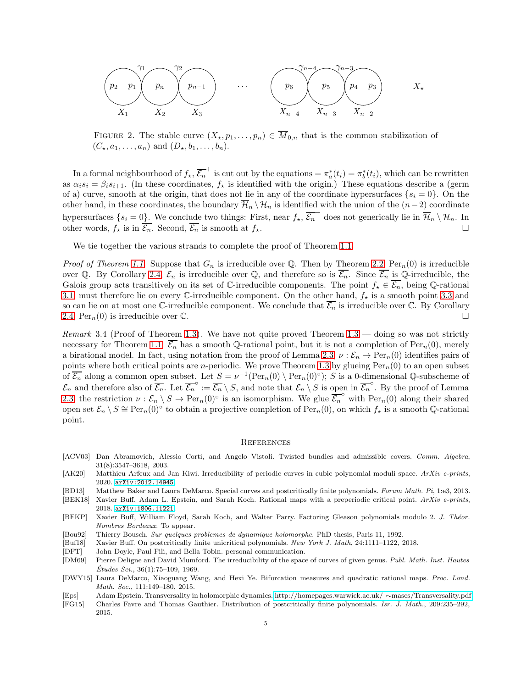$$
\begin{array}{ccc}\n\begin{pmatrix}\n\gamma_1 & \gamma_2 \\
p_2 & p_1\n\end{pmatrix} & \begin{pmatrix}\np_n \\
p_{n-1}\n\end{pmatrix} & \cdots & \begin{pmatrix}\n\gamma_{n-4} & \gamma_{n-3} \\
p_6 & p_5\n\end{pmatrix} & \begin{pmatrix}\np_4 & p_3\n\end{pmatrix} & X_{\star} \\
X_1 & X_2 & X_3\n\end{array}
$$

<span id="page-4-11"></span>FIGURE 2. The stable curve  $(X_\star, p_1, \ldots, p_n) \in \overline{M}_{0,n}$  that is the common stabilization of  $(C_\star, a_1, \ldots, a_n)$  and  $(D_\star, b_1, \ldots, b_n)$ .

In a formal neighbourhood of  $f_\star$ ,  $\overline{\mathcal{E}_n}^+$  is cut out by the equations  $=\pi_a^*(t_i)=\pi_b^*(t_i)$ , which can be rewritten as  $\alpha_i s_i = \beta_i s_{i+1}$ . (In these coordinates,  $f_*$  is identified with the origin.) These equations describe a (germ of a) curve, smooth at the origin, that does not lie in any of the coordinate hypersurfaces  $\{s_i = 0\}$ . On the other hand, in these coordinates, the boundary  $\overline{\mathcal{H}}_n \setminus \mathcal{H}_n$  is identified with the union of the  $(n-2)$  coordinate hypersurfaces  $\{s_i = 0\}$ . We conclude two things: First, near  $f_\star$ ,  $\overline{\mathcal{E}_n}^+$  does not generically lie in  $\overline{\mathcal{H}}_n \setminus \mathcal{H}_n$ . In other words,  $f_{\star}$  is in  $\overline{\mathcal{E}_n}$ . Second,  $\overline{\mathcal{E}_n}$  is smooth at  $f_{\star}$ .

We tie together the various strands to complete the proof of Theorem [1.1.](#page-0-0)

*Proof of Theorem [1.1.](#page-0-0)* Suppose that  $G_n$  is irreducible over Q. Then by Theorem [2.2,](#page-2-0)  $\text{Per}_n(0)$  is irreducible over Q. By Corollary [2.4,](#page-2-2)  $\mathcal{E}_n$  is irreducible over Q, and therefore so is  $\mathcal{E}_n$ . Since  $\mathcal{E}_n$  is Q-irreducible, the Galois group acts transitively on its set of C-irreducible components. The point  $f_{\star} \in \mathcal{E}_n$ , being Q-rational [3.1,](#page-3-1) must therefore lie on every C-irreducible component. On the other hand,  $f_{\star}$  is a smooth point [3.3](#page-3-2) and so can lie on at most one C-irreducible component. We conclude that  $\overline{\mathcal{E}_n}$  is irreducible over C. By Corollary [2.4,](#page-2-2)  $\text{Per}_n(0)$  is irreducible over  $\mathbb{C}$ .

Remark 3.4 (Proof of Theorem [1.3\)](#page-0-1). We have not quite proved Theorem  $1.3$  — doing so was not strictly necessary for Theorem [1.1.](#page-0-0)  $\overline{\mathcal{E}_n}$  has a smooth Q-rational point, but it is not a completion of Per<sub>n</sub>(0), merely a birational model. In fact, using notation from the proof of Lemma [2.3,](#page-2-3)  $\nu : \mathcal{E}_n \to \text{Per}_n(0)$  identifies pairs of points where both critical points are *n*-periodic. We prove Theorem [1.3](#page-0-1) by glueing  $Per_n(0)$  to an open subset of  $\overline{\mathcal{E}_n}$  along a common open subset. Let  $S = \nu^{-1}(\text{Per}_n(0) \setminus \text{Per}_n(0)^\circ)$ ; S is a 0-dimensional Q-subscheme of  $\mathcal{E}_n$  and therefore also of  $\overline{\mathcal{E}_n}$ . Let  $\overline{\mathcal{E}_n}^{\circ} := \overline{\mathcal{E}_n} \setminus S$ , and note that  $\mathcal{E}_n \setminus S$  is open in  $\overline{\mathcal{E}_n}^{\circ}$ . By the proof of Lemma [2.3,](#page-2-3) the restriction  $\nu : \mathcal{E}_n \setminus S \to \text{Per}_n(0)^\circ$  is an isomorphism. We glue  $\overline{\mathcal{E}_n}^\circ$  with  $\text{Per}_n(0)$  along their shared open set  $\mathcal{E}_n \setminus S \cong \text{Per}_n(0)^\circ$  to obtain a projective completion of  $\text{Per}_n(0)$ , on which  $f_*$  is a smooth Q-rational point.

#### **REFERENCES**

- <span id="page-4-6"></span>[ACV03] Dan Abramovich, Alessio Corti, and Angelo Vistoli. Twisted bundles and admissible covers. *Comm. Algebra*, 31(8):3547–3618, 2003.
- <span id="page-4-10"></span>[AK20] Matthieu Arfeux and Jan Kiwi. Irreducibility of periodic curves in cubic polynomial moduli space. *ArXiv e-prints*, 2020. [arXiv:2012.14945](https://arxiv.org/abs/2012.14945).
- <span id="page-4-7"></span>[BD13] Matthew Baker and Laura DeMarco. Special curves and postcritically finite polynomials. *Forum Math. Pi*, 1:e3, 2013.
- <span id="page-4-4"></span>[BEK18] Xavier Buff, Adam L. Epstein, and Sarah Koch. Rational maps with a preperiodic critical point. *ArXiv e-prints*, 2018. [arXiv:1806.11221](http://arxiv.org/abs/1806.11221).
- <span id="page-4-1"></span>[BFKP] Xavier Buff, William Floyd, Sarah Koch, and Walter Parry. Factoring Gleason polynomials modulo 2. *J. Th´eor. Nombres Bordeaux*. To appear.
- <span id="page-4-3"></span>[Bou92] Thierry Bousch. *Sur quelques problemes de dynamique holomorphe*. PhD thesis, Paris 11, 1992.
- <span id="page-4-0"></span>[Buf18] Xavier Buff. On postcritically finite unicritical polynomials. *New York J. Math*, 24:1111–1122, 2018.
- <span id="page-4-2"></span>[DFT] John Doyle, Paul Fili, and Bella Tobin. personal communication.
- <span id="page-4-12"></span>[DM69] Pierre Deligne and David Mumford. The irreducibility of the space of curves of given genus. *Publ. Math. Inst. Hautes Études Sci.*, 36(1):75–109, 1969.
- <span id="page-4-9"></span>[DWY15] Laura DeMarco, Xiaoguang Wang, and Hexi Ye. Bifurcation measures and quadratic rational maps. *Proc. Lond. Math. Soc.*, 111:149–180, 2015.
- <span id="page-4-5"></span>[Eps] Adam Epstein. Transversality in holomorphic dynamics. [http://homepages.warwick.ac.uk/](http://homepages.warwick.ac.uk/~mases/Transversality.pdf) ∼mases/Transversality.pdf.
- <span id="page-4-8"></span>[FG15] Charles Favre and Thomas Gauthier. Distribution of postcritically finite polynomials. *Isr. J. Math.*, 209:235–292, 2015.